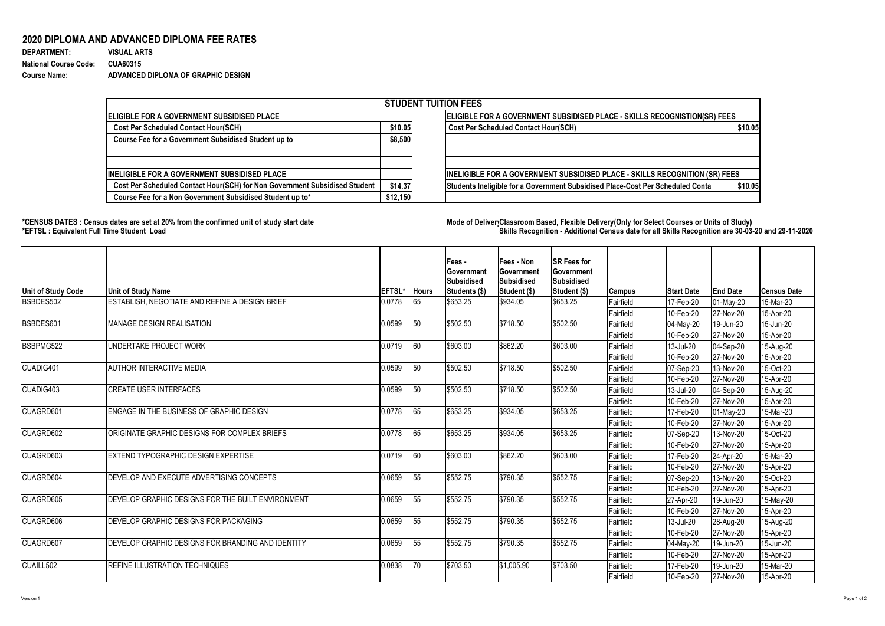## **2020 DIPLOMA AND ADVANCED DIPLOMA FEE RATES**

| <b>DEPARTMENT:</b>           | <b>VISUAL ARTS</b>                 |
|------------------------------|------------------------------------|
| <b>National Course Code:</b> | <b>CUA60315</b>                    |
| <b>Course Name:</b>          | ADVANCED DIPLOMA OF GRAPHIC DESIGN |

## **\*CENSUS DATES : Census dates are set at 20% from the confirmed unit of study start date Mode of DeliveryClassroom Based, Flexible Delivery(Only for Select Courses or Units of Study) \*EFTSL : Equivalent Full Time Student Load Skills Recognition - Additional Census date for all Skills Recognition are 30-03-20 and 29-11-2020**



| <b>STUDENT TUITION FEES</b>                                                |          |                                                                                |         |  |  |  |  |  |
|----------------------------------------------------------------------------|----------|--------------------------------------------------------------------------------|---------|--|--|--|--|--|
| ELIGIBLE FOR A GOVERNMENT SUBSIDISED PLACE                                 |          | ELIGIBLE FOR A GOVERNMENT SUBSIDISED PLACE - SKILLS RECOGNISTION(SR) FEES      |         |  |  |  |  |  |
| <b>Cost Per Scheduled Contact Hour(SCH)</b>                                |          | <b>Cost Per Scheduled Contact Hour(SCH)</b>                                    | \$10.05 |  |  |  |  |  |
| Course Fee for a Government Subsidised Student up to                       | \$8,500  |                                                                                |         |  |  |  |  |  |
|                                                                            |          |                                                                                |         |  |  |  |  |  |
|                                                                            |          |                                                                                |         |  |  |  |  |  |
| <b>INELIGIBLE FOR A GOVERNMENT SUBSIDISED PLACE</b>                        |          | INELIGIBLE FOR A GOVERNMENT SUBSIDISED PLACE - SKILLS RECOGNITION (SR) FEES    |         |  |  |  |  |  |
| Cost Per Scheduled Contact Hour(SCH) for Non Government Subsidised Student | \$14.37  | Students Ineligible for a Government Subsidised Place-Cost Per Scheduled Conta | \$10.05 |  |  |  |  |  |
| Course Fee for a Non Government Subsidised Student up to*                  | \$12,150 |                                                                                |         |  |  |  |  |  |

| Unit of Study Code | Unit of Study Name                                | <b>EFTSL*</b> | <b>Hours</b> | Fees -<br><b>Government</b><br><b>Subsidised</b><br> Students (\$)                                                                                                                 | <b>Fees - Non</b><br><b>Government</b><br>Subsidised<br>Student (\$) | <b>SR Fees for</b><br><b>Government</b><br><b>Subsidised</b><br>Student (\$) | Campus           | <b>Start Date</b>        | <b>End Date</b>        | <b>Census Date</b> |
|--------------------|---------------------------------------------------|---------------|--------------|------------------------------------------------------------------------------------------------------------------------------------------------------------------------------------|----------------------------------------------------------------------|------------------------------------------------------------------------------|------------------|--------------------------|------------------------|--------------------|
| BSBDES502          | ESTABLISH, NEGOTIATE AND REFINE A DESIGN BRIEF    | 0.0778        | 65           | \$653.25                                                                                                                                                                           | \$934.05                                                             | \$653.25                                                                     | Fairfield        | 17-Feb-20                | $01$ -May-20           | 15-Mar-20          |
|                    |                                                   |               |              |                                                                                                                                                                                    |                                                                      |                                                                              | Fairfield        | 10-Feb-20                | 27-Nov-20              | 15-Apr-20          |
| BSBDES601          | <b>MANAGE DESIGN REALISATION</b>                  | 0.0599        | 50           | \$502.50                                                                                                                                                                           | \$718.50                                                             | \$502.50                                                                     | <b>Fairfield</b> | $ 04-May-20 $            | 19-Jun-20              | 15-Jun-20          |
|                    |                                                   |               |              |                                                                                                                                                                                    |                                                                      |                                                                              | Fairfield        | $ 10 - \text{Feb} - 20 $ | 27-Nov-20              | 15-Apr-20          |
| BSBPMG522          | UNDERTAKE PROJECT WORK                            | 0.0719        | 60           | \$603.00                                                                                                                                                                           | \$862.20                                                             | \$603.00                                                                     | Fairfield        | $ 13 -$ Jul-20           | $ 04-Sep-20 $          | 15-Aug-20          |
|                    |                                                   |               |              |                                                                                                                                                                                    |                                                                      |                                                                              | Fairfield        | $ 10 - \text{Feb} - 20 $ | 27-Nov-20              | 15-Apr-20          |
| CUADIG401          | <b>AUTHOR INTERACTIVE MEDIA</b>                   | 0.0599        | $\sqrt{50}$  | \$502.50                                                                                                                                                                           | \$718.50                                                             | \$502.50                                                                     | <b>Fairfield</b> | $ 07-Sep-20 $            | 13-Nov-20              | 15-Oct-20          |
|                    |                                                   |               |              |                                                                                                                                                                                    |                                                                      |                                                                              | Fairfield        | $ 10 - \text{Feb} - 20 $ | 27-Nov-20              | 15-Apr-20          |
| CUADIG403          | <b>CREATE USER INTERFACES</b>                     | 0.0599        | 50           | \$502.50                                                                                                                                                                           | \$718.50                                                             | \$502.50                                                                     | Fairfield        | $ 13 -$ Jul-20           | $ 04 - \text{Sep-}20 $ | 15-Aug-20          |
|                    |                                                   |               |              |                                                                                                                                                                                    |                                                                      |                                                                              | Fairfield        | $ 10 - \text{Feb} - 20$  | 27-Nov-20              | 15-Apr-20          |
| <b>CUAGRD601</b>   | <b>ENGAGE IN THE BUSINESS OF GRAPHIC DESIGN</b>   | 0.0778        | 65           |                                                                                                                                                                                    |                                                                      |                                                                              | Fairfield        | $ 17 - \text{Feb} - 20 $ | $01$ -May-20           | 15-Mar-20          |
|                    |                                                   |               |              |                                                                                                                                                                                    |                                                                      |                                                                              | Fairfield        | $ 10 - \text{Feb} - 20 $ | 27-Nov-20              | 15-Apr-20          |
| <b>CUAGRD602</b>   | ORIGINATE GRAPHIC DESIGNS FOR COMPLEX BRIEFS      | 0.0778        | 65           | \$934.05<br>\$653.25<br>\$653.25<br>\$653.25<br> \$934.05<br>\$653.25<br>\$603.00<br>\$862.20<br>\$603.00<br> \$790.35<br>\$552.75<br>\$552.75<br>\$790.35<br>\$552.75<br>\$552.75 |                                                                      |                                                                              | Fairfield        | $ 07-Sep-20 $            | 13-Nov-20              | 15-Oct-20          |
|                    |                                                   |               |              |                                                                                                                                                                                    | Fairfield                                                            | $ 10 - \text{Feb} - 20 $                                                     | 27-Nov-20        | 15-Apr-20                |                        |                    |
| <b>CUAGRD603</b>   | <b>EXTEND TYPOGRAPHIC DESIGN EXPERTISE</b>        | 0.0719        | 60           |                                                                                                                                                                                    |                                                                      |                                                                              | Fairfield        | $ 17 - \text{Feb} - 20 $ | 24-Apr-20              | 15-Mar-20          |
|                    |                                                   |               |              |                                                                                                                                                                                    |                                                                      |                                                                              | Fairfield        | $ 10 - \text{Feb} - 20$  | 27-Nov-20              | 15-Apr-20          |
| <b>CUAGRD604</b>   | DEVELOP AND EXECUTE ADVERTISING CONCEPTS          | 0.0659        | 55           |                                                                                                                                                                                    |                                                                      |                                                                              | Fairfield        | $ 07 - \text{Sep-}20 $   | 13-Nov-20              | 15-Oct-20          |
|                    |                                                   |               |              |                                                                                                                                                                                    |                                                                      |                                                                              | Fairfield        | 10-Feb-20                | 27-Nov-20              | 15-Apr-20          |
| <b>CUAGRD605</b>   | DEVELOP GRAPHIC DESIGNS FOR THE BUILT ENVIRONMENT | 0.0659        | 55           |                                                                                                                                                                                    |                                                                      |                                                                              | Fairfield        | 27-Apr-20                | 19-Jun-20              | 15-May-20          |
|                    |                                                   |               |              |                                                                                                                                                                                    |                                                                      |                                                                              | Fairfield        | 10-Feb-20                | 27-Nov-20              | 15-Apr-20          |
| <b>CUAGRD606</b>   | DEVELOP GRAPHIC DESIGNS FOR PACKAGING             | 0.0659        | 55           | \$552.75                                                                                                                                                                           | \$790.35                                                             | \$552.75                                                                     | Fairfield        | 13-Jul-20                | 28-Aug-20              | 15-Aug-20          |
|                    |                                                   |               |              |                                                                                                                                                                                    |                                                                      |                                                                              | Fairfield        | $ 10 - \text{Feb} - 20$  | 27-Nov-20              | 15-Apr-20          |
| <b>CUAGRD607</b>   | DEVELOP GRAPHIC DESIGNS FOR BRANDING AND IDENTITY | 0.0659        | 55           | \$552.75                                                                                                                                                                           | \$790.35                                                             | \$552.75                                                                     | Fairfield        | $ 04-May-20 $            | 19-Jun-20              | 15-Jun-20          |
|                    |                                                   |               |              |                                                                                                                                                                                    |                                                                      |                                                                              | Fairfield        | $ 10 - \text{Feb} - 20$  | $ 27-Nov-20 $          | 15-Apr-20          |
| <b>CUAILL502</b>   | REFINE ILLUSTRATION TECHNIQUES                    | 0.0838        | $ 70\rangle$ | \$703.50                                                                                                                                                                           | \$1,005.90                                                           | \$703.50                                                                     | Fairfield        | $ 17 - \text{Feb} - 20$  | 19-Jun-20              | 15-Mar-20          |
|                    |                                                   |               |              |                                                                                                                                                                                    |                                                                      |                                                                              | Fairfield        | $ 10 - \text{Feb} - 20 $ | $ 27-Nov-20 $          | 15-Apr-20          |